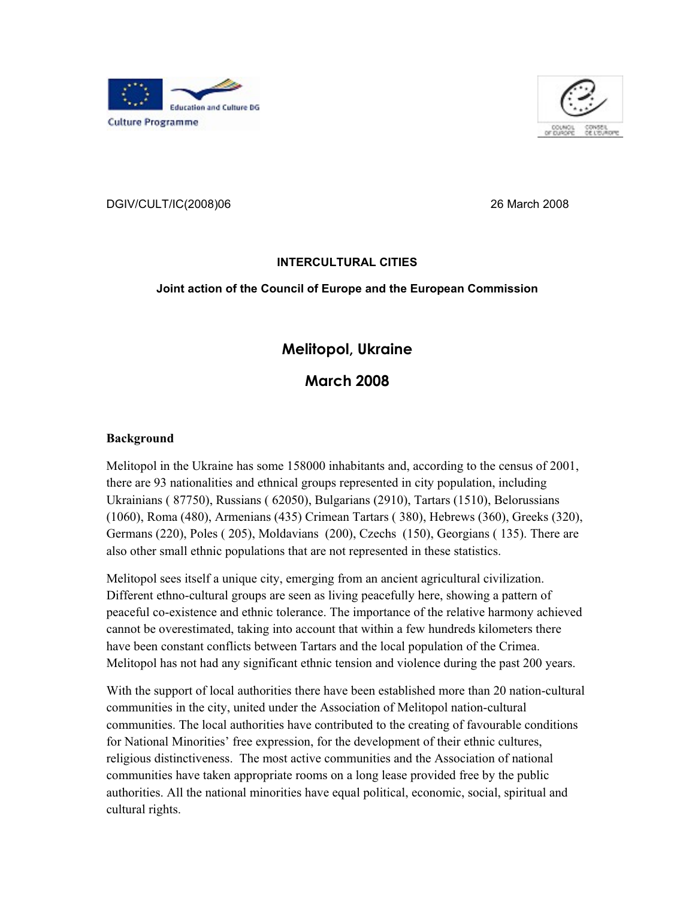



DGIV/CULT/IC(2008)06 26 March 2008

### **INTERCULTURAL CITIES**

#### **Joint action of the Council of Europe and the European Commission**

## **Melitopol, Ukraine**

**March 2008**

#### **Background**

Melitopol in the Ukraine has some 158000 inhabitants and, according to the census of 2001,<br>there are 93 nationalities and ethnical groups represented in city population, including<br>Ukrainians (87750), Russians (62050), Bulg

Melitopol sees itself a unique city, emerging from an ancient agricultural civilization. Different ethno-cultural groups are seen as living peacefully here, showing a pattern of<br>peaceful co-existence and ethnic tolerance. The importance of the relative harmony achieved<br>cannot be overestimated, taking into acco have been constant conflicts between Tartars and the local population of the Crimea. Melitopol has not had any significant ethnic tension and violence during the past 200 years. With the support of local authorities there have been established more than 20 nation-cultural

communities in the city, united under the Association of Melitopol nation-cultural<br>communities. The local authorities have contributed to the creating of favourable conditions<br>for National Minorities' free expression, for religious distinctiveness. The most active communities and the Association of national communities have taken appropriate rooms on a long lease provided free by the public authorities. All the national minorities have equal political, economic, social, spiritual and cultural rights.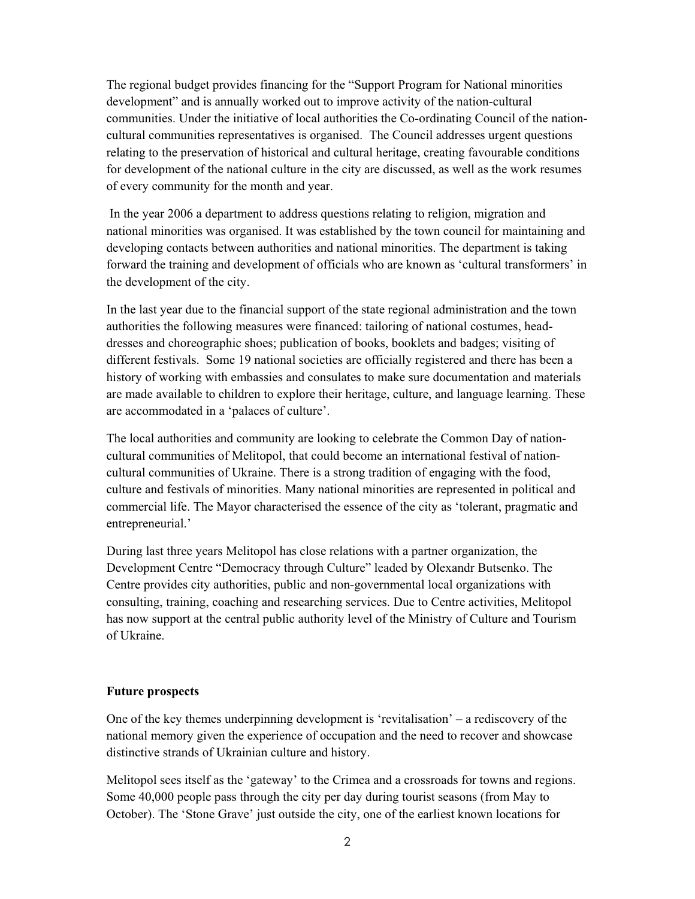The regional budget provides financing for the "Support Program for National minorities development" and is annually worked out to improve activity of the nation-cultural communities. Under the initiative of local authorities the Co-ordinating Council of the nation cultural communities representatives is organised. The Council addresses urgent questions<br>relating to the preservation of historical and cultural heritage, creating favourable conditions<br>for development of the national cul

 In the year 2006 a department to address questions relating to religion, migration and national minorities was organised. It was established by the town council for maintaining and<br>developing contacts between authorities and national minorities. The department is taking<br>forward the training and development o the development of the city. In the last year due to the financial support of the state regional administration and the town

authorities the following measures were financed: tailoring of national costumes, headdresses and choreographic shoes; publication of books, booklets and badges; visiting of different festivals. Some 19 national societies are officially registered and there has been a<br>history of working with embassies and consulates to make sure documentation and materials<br>are made available to children to exp are accommodated in a 'palaces of culture'.

The local authorities and community are looking to celebrate the Common Day of nation cultural communities of Melitopol, that could become an international festival of nation cultural communities of Ukraine. There is a strong tradition of engaging with the food, culture and festivals of minorities. Many national minorities are represented in political and commercial life. The Mayor characterise

During last three years Melitopol has close relations with a partner organization, the Development Centre "Democracy through Culture" leaded by Olexandr Butsenko. The Centre provides city authorities, public and non-governmental local organizations with consulting, training, coaching and researching services. Due to Centre activities, Melitopol has now support at the central public authority level of the Ministry of Culture and Tourism of Ukraine.

#### **Future prospects**

One of the key themes underpinning development is 'revitalisation' – a rediscovery of the national memory given the experience of occupation and the need to recover and showcase distinctive strands of Ukrainian culture and history.

Melitopol sees itself as the 'gateway' to the Crimea and a crossroads for towns and regions. Some 40,000 people pass through the city per day during tourist seasons (from May to October). The 'Stone Grave' just outside the city, one of the earliest known locations for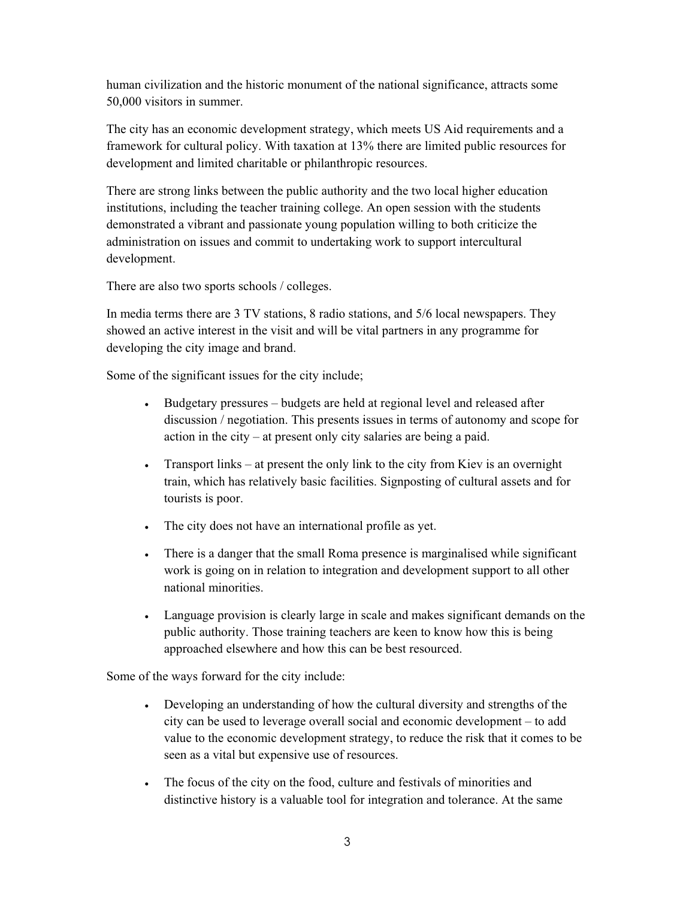human civilization and the historic monument of the national significance, attracts some 50,000 visitors in summer. The city has an economic development strategy, which meets US Aid requirements and a

framework for cultural policy. With taxation at 13% there are limited public resources for development and limited charitable or philanthropic resources.<br>There are strong links between the public authority and the two loca

There are also two sports schools / colleges.

In media terms there are 3 TV stations, 8 radio stations, and 5/6 local newspapers. They showed an active interest in the visit and will be vital partners in any programme for

developing the city image and brand. Some of the significant issues for the city include;

- Budgetary pressures budgets are held at regional level and released after discussion / negotiation. This presents issues in terms of autonomy and scope for action in the city – at present only city salaries are being a paid.
- Transport links at present the only link to the city from Kiev is an overnight train, which has relatively basic facilities. Signposting of cultural assets and for tourists is poor.
- The city does not have an international profile as yet.
- There is a danger that the small Roma presence is marginalised while significant work is going on in relation to integration and development support to all other national minorities.
- Language provision is clearly large in scale and makes significant demands on the public authority. Those training teachers are keen to know how this is being approached elsewhere and how this can be best resourced.<br>Some of the ways forward for the city include:

- Developing an understanding of how the cultural diversity and strengths of the city can be used to leverage overall social and economic development to add value to the economic development strategy, to reduce the risk th
- The focus of the city on the food, culture and festivals of minorities and distinctive history is a valuable tool for integration and tolerance. At the same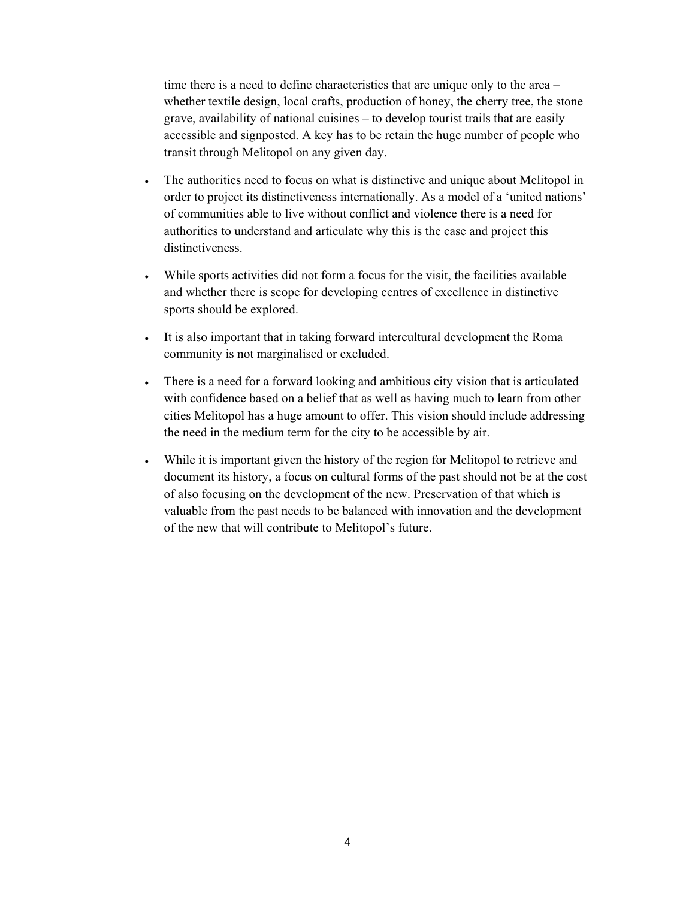time there is a need to define characteristics that are unique only to the area – whether textile design, local crafts, production of honey, the cherry tree, the stone grave, availability of national cuisines – to develop tourist trails that are easily accessible and signposted. A key has to be retain the huge number of people who transit through Melitopol on any given day.

- The authorities need to focus on what is distinctive and unique about Melitopol in order to project its distinctiveness internationally. As a model of a 'united nations' of communities able to live without conflict and v authorities to understand and articulate why this is the case and project this distinctiveness.
- While sports activities did not form a focus for the visit, the facilities available and whether there is scope for developing centres of excellence in distinctive sports should be explored.
- It is also important that in taking forward intercultural development the Roma community is not marginalised or excluded.
- There is a need for a forward looking and ambitious city vision that is articulated with confidence based on a belief that as well as having much to learn from other<br>cities Melitopol has a huge amount to offer. This vision should include addressing<br>the need in the medium term for the city to be accessible
- While it is important given the history of the region for Melitopol to retrieve and<br>document its history, a focus on cultural forms of the past should not be at the cost<br>of also focusing on the development of the new. Pr valuable from the past needs to be balanced with innovation and the development of the new that will contribute to Melitopol's future.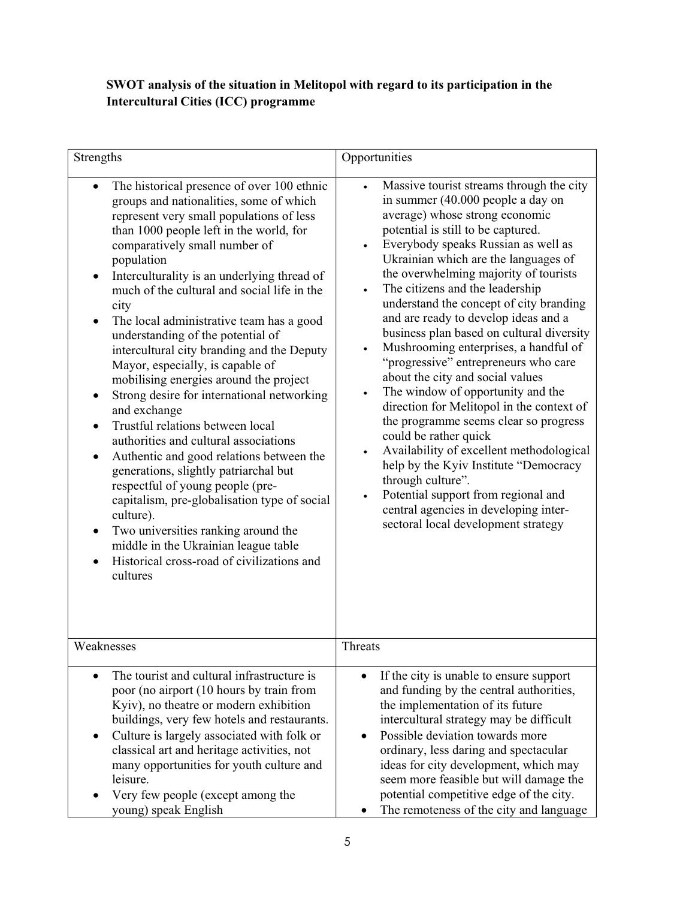# **SWOT analysis of the situation in Melitopol with regard to its participation in the Intercultural Cities (ICC) programme**

| Strengths                                                                                                                                                                                                                                                                                                                                                                                                                                                                                                                                                                                                                                                                                                                                                                                                                                                                                                                                                                                                                                                       | Opportunities                                                                                                                                                                                                                                                                                                                                                                                                                                                                                                                                                                                                                                                                                                                                                                                                                                                                                                                                                                                                               |
|-----------------------------------------------------------------------------------------------------------------------------------------------------------------------------------------------------------------------------------------------------------------------------------------------------------------------------------------------------------------------------------------------------------------------------------------------------------------------------------------------------------------------------------------------------------------------------------------------------------------------------------------------------------------------------------------------------------------------------------------------------------------------------------------------------------------------------------------------------------------------------------------------------------------------------------------------------------------------------------------------------------------------------------------------------------------|-----------------------------------------------------------------------------------------------------------------------------------------------------------------------------------------------------------------------------------------------------------------------------------------------------------------------------------------------------------------------------------------------------------------------------------------------------------------------------------------------------------------------------------------------------------------------------------------------------------------------------------------------------------------------------------------------------------------------------------------------------------------------------------------------------------------------------------------------------------------------------------------------------------------------------------------------------------------------------------------------------------------------------|
| The historical presence of over 100 ethnic<br>groups and nationalities, some of which<br>represent very small populations of less<br>than 1000 people left in the world, for<br>comparatively small number of<br>population<br>Interculturality is an underlying thread of<br>much of the cultural and social life in the<br>city<br>The local administrative team has a good<br>understanding of the potential of<br>intercultural city branding and the Deputy<br>Mayor, especially, is capable of<br>mobilising energies around the project<br>Strong desire for international networking<br>$\bullet$<br>and exchange<br>Trustful relations between local<br>$\bullet$<br>authorities and cultural associations<br>Authentic and good relations between the<br>$\bullet$<br>generations, slightly patriarchal but<br>respectful of young people (pre-<br>capitalism, pre-globalisation type of social<br>culture).<br>Two universities ranking around the<br>middle in the Ukrainian league table<br>Historical cross-road of civilizations and<br>cultures | Massive tourist streams through the city<br>$\bullet$<br>in summer (40.000 people a day on<br>average) whose strong economic<br>potential is still to be captured.<br>Everybody speaks Russian as well as<br>Ukrainian which are the languages of<br>the overwhelming majority of tourists<br>The citizens and the leadership<br>$\bullet$<br>understand the concept of city branding<br>and are ready to develop ideas and a<br>business plan based on cultural diversity<br>Mushrooming enterprises, a handful of<br>"progressive" entrepreneurs who care<br>about the city and social values<br>The window of opportunity and the<br>$\bullet$<br>direction for Melitopol in the context of<br>the programme seems clear so progress<br>could be rather quick<br>Availability of excellent methodological<br>$\bullet$<br>help by the Kyiv Institute "Democracy<br>through culture".<br>Potential support from regional and<br>$\bullet$<br>central agencies in developing inter-<br>sectoral local development strategy |
| Weaknesses                                                                                                                                                                                                                                                                                                                                                                                                                                                                                                                                                                                                                                                                                                                                                                                                                                                                                                                                                                                                                                                      | Threats                                                                                                                                                                                                                                                                                                                                                                                                                                                                                                                                                                                                                                                                                                                                                                                                                                                                                                                                                                                                                     |
| The tourist and cultural infrastructure is<br>poor (no airport (10 hours by train from<br>Kyiv), no theatre or modern exhibition<br>buildings, very few hotels and restaurants.<br>Culture is largely associated with folk or<br>classical art and heritage activities, not<br>many opportunities for youth culture and<br>leisure.<br>Very few people (except among the<br>young) speak English                                                                                                                                                                                                                                                                                                                                                                                                                                                                                                                                                                                                                                                                | If the city is unable to ensure support<br>and funding by the central authorities,<br>the implementation of its future<br>intercultural strategy may be difficult<br>Possible deviation towards more<br>ordinary, less daring and spectacular<br>ideas for city development, which may<br>seem more feasible but will damage the<br>potential competitive edge of the city.<br>The remoteness of the city and language                                                                                                                                                                                                                                                                                                                                                                                                                                                                                                                                                                                                      |